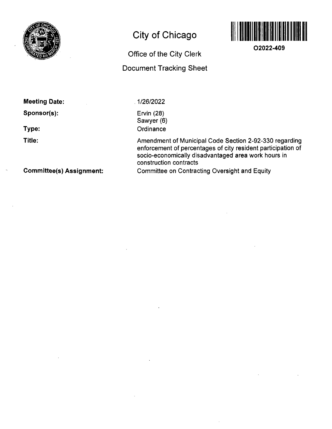

# **City of Chicago**



**02022-409** 

## Office of the City Clerk Document Tracking Sheet

**Meeting Date:** 

**Sponsor(s):** 

**Type:** 

**Title:** 

1/26/2022

Ervin (28) Sawyer (6) **Ordinance** 

Amendment of Municipal Code Section 2-92-330 regarding enforcement of percentages of city resident participation of socio-economically disadvantaged area work hours in construction contracts Committee on Contracting Oversight and Equity

**Committee(s) Assignment:**